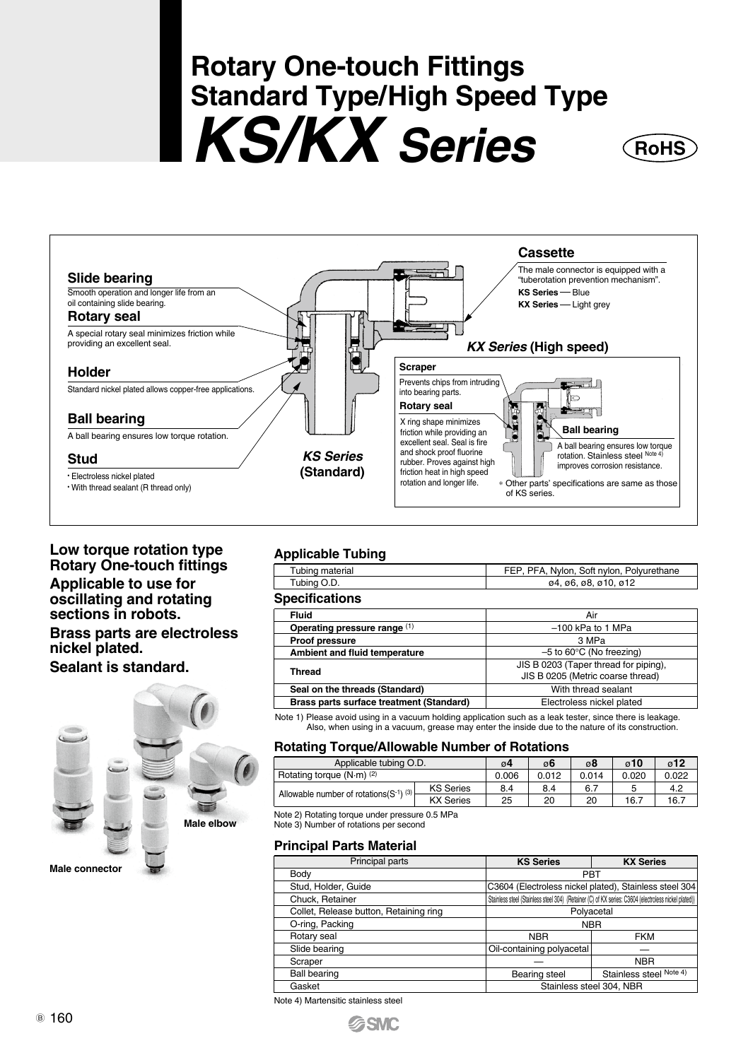# **Rotary One-touch Fittings Standard Type/High Speed Type KS/KX Series**



#### **Low torque rotation type Rotary One-touch fittings**

#### **Applicable to use for oscillating and rotating sections in robots.**

#### **Brass parts are electroless nickel plated.**

#### **Sealant is standard.**



#### **Applicable Tubing**

| $1.19$ $1.30$ $1.00$ $1.00$ $1.00$ |                                           |
|------------------------------------|-------------------------------------------|
| Tubing material                    | FEP, PFA, Nylon, Soft nylon, Polyurethane |
| Tubing O.D.                        | 04.06.08.010.012                          |
| <b>Specifications</b>              |                                           |

#### **Fluid** Air –100 kPa to 1 MPa 3 MPa With thread sealant Electroless nickel plated –5 to 60°C (No freezing) JIS B 0203 (Taper thread for piping), JIS B 0205 (Metric coarse thread) **Operating pressure range** (1) **Proof pressure Ambient and fluid temperature Thread Seal on the threads (Standard) Brass parts surface treatment (Standard)**

Note 1) Please avoid using in a vacuum holding application such as a leak tester, since there is leakage. Also, when using in a vacuum, grease may enter the inside due to the nature of its construction.

#### **Rotating Torque/Allowable Number of Rotations**

| Applicable tubing O.D.                 | $\alpha$ 4       | $\alpha$ 6 | ø8    | $\alpha$ 10 | $\alpha$ 12 |      |
|----------------------------------------|------------------|------------|-------|-------------|-------------|------|
| Rotating torque (N-m) (2)              | 0.006            | 0.012      | 0.014 | 0.020       | 0.022       |      |
| Allowable number of rotations(S-1) (3) | <b>KS</b> Series | 8.4        | 8.4   | 6.7         |             | 4.2  |
|                                        | <b>KX Series</b> | 25         | 20    | 20          | 16.7        | 16.7 |

Note 2) Rotating torque under pressure 0.5 MPa Note 3) Number of rotations per second

#### **Principal Parts Material**

| Principal parts                        | <b>KS Series</b>                                                                                     | <b>KX Series</b>        |  |  |  |  |
|----------------------------------------|------------------------------------------------------------------------------------------------------|-------------------------|--|--|--|--|
| Body                                   | PBT                                                                                                  |                         |  |  |  |  |
| Stud, Holder, Guide                    | C3604 (Electroless nickel plated), Stainless steel 304                                               |                         |  |  |  |  |
| Chuck, Retainer                        | Stainless steel (Stainless steel 304) (Retainer (C) of KX series: C3604 (electroless nickel plated)) |                         |  |  |  |  |
| Collet, Release button, Retaining ring | Polyacetal                                                                                           |                         |  |  |  |  |
| O-ring, Packing                        | <b>NBR</b>                                                                                           |                         |  |  |  |  |
| Rotary seal                            | <b>NBR</b>                                                                                           | <b>FKM</b>              |  |  |  |  |
| Slide bearing                          | Oil-containing polyacetal                                                                            |                         |  |  |  |  |
| Scraper                                |                                                                                                      | <b>NBR</b>              |  |  |  |  |
| <b>Ball bearing</b>                    | <b>Bearing steel</b>                                                                                 | Stainless steel Note 4) |  |  |  |  |
| Gasket                                 | Stainless steel 304, NBR                                                                             |                         |  |  |  |  |
|                                        |                                                                                                      |                         |  |  |  |  |

Note 4) Martensitic stainless steel

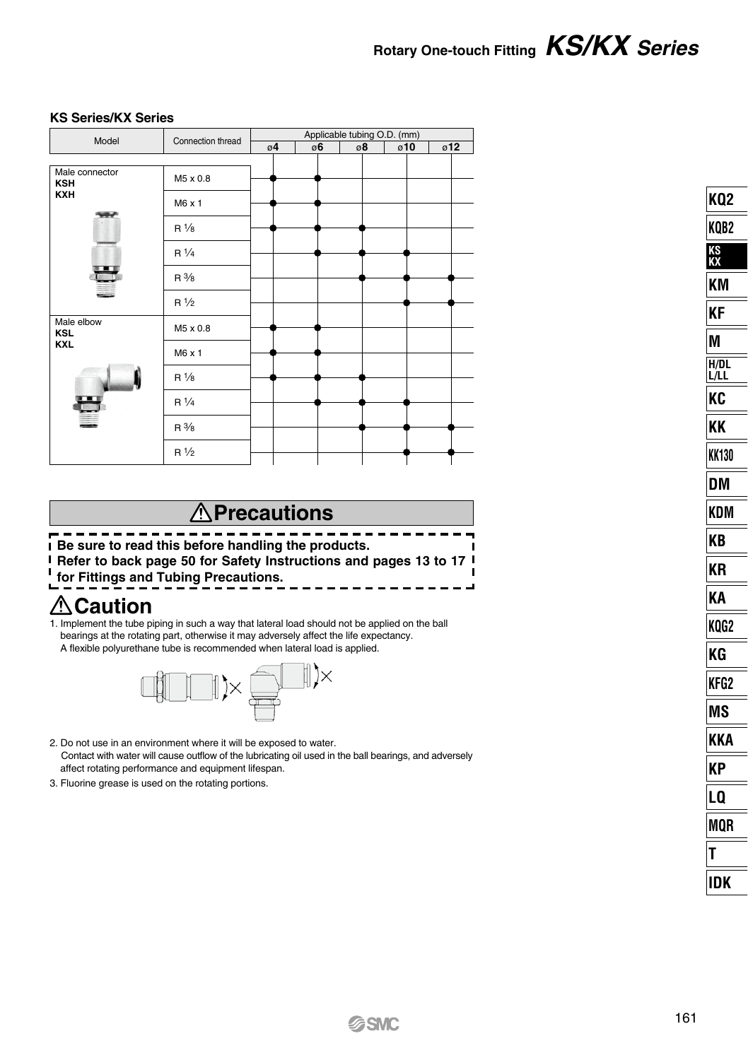#### **KS Series/KX Series**

| Connection thread<br>M5 x 0.8 | $\mathfrak{g}4$ | ø6 | ø8 | ø10 | ø12 |
|-------------------------------|-----------------|----|----|-----|-----|
|                               |                 |    |    |     |     |
|                               |                 |    |    |     |     |
|                               |                 |    |    |     |     |
| M6 x 1                        |                 |    |    |     |     |
| $R\frac{1}{8}$                |                 |    |    |     |     |
| $R\frac{1}{4}$                |                 |    |    |     |     |
| $R\frac{3}{8}$                |                 |    |    |     |     |
| $R\frac{1}{2}$                |                 |    |    |     |     |
| M5 x 0.8                      |                 |    |    |     |     |
| M6 x 1                        |                 |    |    |     |     |
| $R\frac{1}{8}$                |                 |    |    |     |     |
| $R\frac{1}{4}$                |                 |    |    |     |     |
| $R\frac{3}{8}$                |                 |    |    |     |     |
| $R\frac{1}{2}$                |                 |    |    |     |     |
|                               |                 |    |    |     |     |

### **Precautions**

--------------------------× **Be sure to read this before handling the products. Refer to back page 50 for Safety Instructions and pages 13 to 17 for Fittings and Tubing Precautions.**

### **∆**Caution

1. Implement the tube piping in such a way that lateral load should not be applied on the ball bearings at the rotating part, otherwise it may adversely affect the life expectancy. A flexible polyurethane tube is recommended when lateral load is applied.



- 2. Do not use in an environment where it will be exposed to water. Contact with water will cause outflow of the lubricating oil used in the ball bearings, and adversely affect rotating performance and equipment lifespan.
- 3. Fluorine grease is used on the rotating portions.

| KQ2          |
|--------------|
| KQB2         |
| ks<br>KX     |
| ΚM           |
| ΚF           |
| M            |
| H/DL<br>L/LL |
| KC           |
| ΚK           |
| <b>KK130</b> |
| DM           |
| KDM          |
| ΚB           |
| ΚR           |
| KΑ           |
| KQG2         |
| KG           |
| KFG2         |
| MS           |
| KKA          |
| КP           |
| LQ           |
| MQR          |
| Ī            |
| IDK          |
|              |

ب ب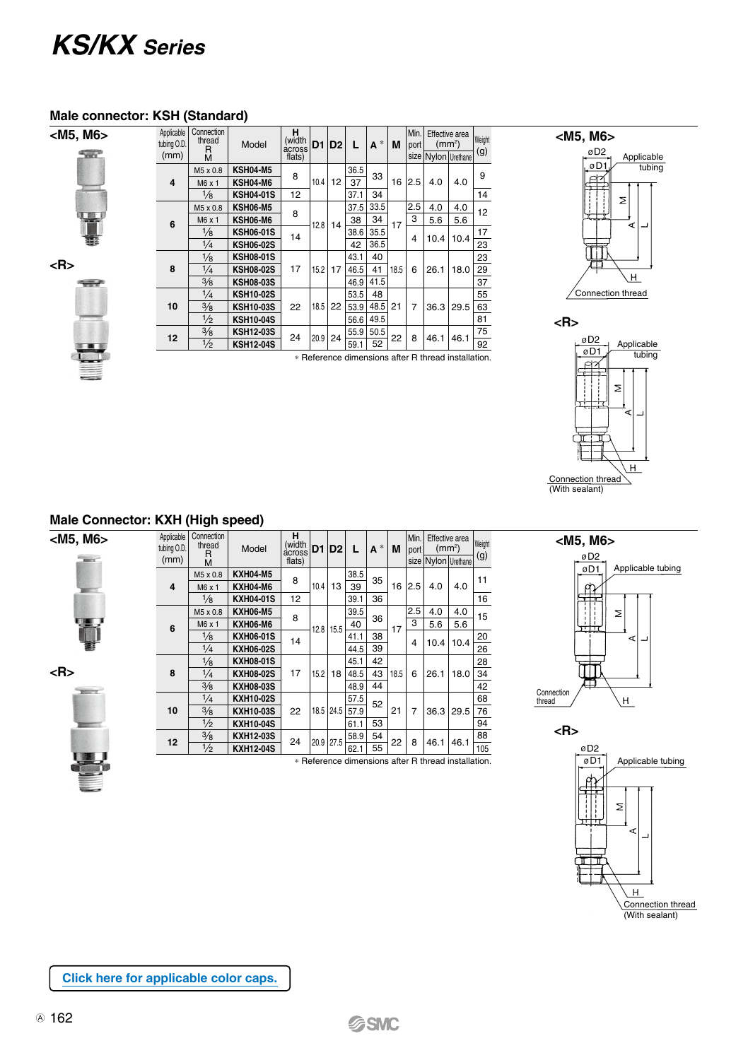### *KS/KX Series*

#### **Male connector: KSH (Standard)**

**<M5, M6>**

| ÷ |  |  |
|---|--|--|
|   |  |  |
| à |  |  |

**<R>**



| Applicable<br>tubing O.D.<br>(mm)                   | Connection<br>thread<br>R<br>M | Model            | н<br>(width<br>across<br>flats) | D1         | D <sub>2</sub> | L    | $A^*$ | M    | Min.<br>port | Effective area<br>(mm <sup>2</sup> )<br>size Nylon Urethane |      | Weight<br>(g) |      |     |    |  |    |
|-----------------------------------------------------|--------------------------------|------------------|---------------------------------|------------|----------------|------|-------|------|--------------|-------------------------------------------------------------|------|---------------|------|-----|----|--|----|
|                                                     | M5 x 0.8                       | <b>KSH04-M5</b>  | 8                               |            |                | 36.5 | 33    |      |              |                                                             |      | 9             |      |     |    |  |    |
| 4                                                   | M6 x 1                         | KSH04-M6         | 12                              | 10.4       | 12             | 37   |       | 16   | 2.5          | 4.0                                                         | 4.0  |               |      |     |    |  |    |
|                                                     | $\frac{1}{8}$                  | <b>KSH04-01S</b> |                                 |            |                | 37.1 | 34    |      |              |                                                             |      | 14            |      |     |    |  |    |
|                                                     | M5 x 0.8                       | <b>KSH06-M5</b>  | 8<br>14                         |            |                | 37.5 | 33.5  |      | 2.5          | 4.0                                                         | 4.0  | 12            |      |     |    |  |    |
| 6                                                   | M6 x 1                         | <b>KSH06-M6</b>  |                                 |            |                |      | 12.8  | 14   | 38           | 34                                                          | 17   | 3             | 5.6  | 5.6 |    |  |    |
|                                                     | $\frac{1}{8}$                  | <b>KSH06-01S</b> |                                 |            |                |      |       | 38.6 | 35.5         |                                                             | 4    |               | 10.4 | 17  |    |  |    |
|                                                     | $\frac{1}{4}$                  | <b>KSH06-02S</b> |                                 |            |                | 42   | 36.5  |      |              | 10.4                                                        |      | 23            |      |     |    |  |    |
|                                                     | $\frac{1}{8}$                  | <b>KSH08-01S</b> |                                 |            |                |      |       |      |              |                                                             | 43.1 | 40            |      |     |    |  | 23 |
| 8                                                   | $\frac{1}{4}$                  | <b>KSH08-02S</b> | 17                              | 15.2       | 17             | 46.5 | 41    | 18.5 | 6            | 26.1                                                        | 18.0 | 29            |      |     |    |  |    |
|                                                     | $\frac{3}{8}$                  | <b>KSH08-03S</b> |                                 |            |                | 46.9 | 41.5  |      |              |                                                             |      | 37            |      |     |    |  |    |
|                                                     | $\frac{1}{4}$                  | <b>KSH10-02S</b> |                                 | 18.5<br>22 |                | 53.5 | 48    |      |              |                                                             |      | 55            |      |     |    |  |    |
| 10                                                  | $\frac{3}{8}$                  | <b>KSH10-03S</b> |                                 |            |                | 22   | 53.9  | 48.5 | 21           | 7                                                           | 36.3 | 29.5          | 63   |     |    |  |    |
|                                                     | $\frac{1}{2}$                  | <b>KSH10-04S</b> |                                 |            |                |      |       |      | 56.6         | 49.5                                                        |      |               |      |     | 81 |  |    |
| 12                                                  | $\frac{3}{8}$                  | <b>KSH12-03S</b> | 24                              | 20.9       | 24             | 55.9 | 50.5  | 22   | 8            |                                                             |      | 75            |      |     |    |  |    |
|                                                     | $\frac{1}{2}$                  | <b>KSH12-04S</b> |                                 |            |                | 59.1 | 52    |      |              | 46.1                                                        | 46.1 | 92            |      |     |    |  |    |
| * Reference dimensions after R thread installation. |                                |                  |                                 |            |                |      |       |      |              |                                                             |      |               |      |     |    |  |    |





#### **Male Connector: KXH (High speed)**

| <m5, m6=""><br/><b>Warry</b></m5,> | Applicable<br>tubing O.D.<br>(mm) | Connection<br>thread<br>R<br>M    | Model            | н<br>(width<br>flats) | across D1<br> D2 |           | L    | $A^*$    | M         | Min.<br>port   | Effective area<br>size Nylon Urethan | (mm <sup>2</sup> ) |   |  |  |
|------------------------------------|-----------------------------------|-----------------------------------|------------------|-----------------------|------------------|-----------|------|----------|-----------|----------------|--------------------------------------|--------------------|---|--|--|
|                                    |                                   | M5 x 0.8                          | <b>KXH04-M5</b>  | 8                     |                  |           | 38.5 | 35       |           |                |                                      |                    |   |  |  |
|                                    | 4                                 | M6 x 1                            | <b>KXH04-M6</b>  |                       | 10.4             | 13        | 39   |          | 16        | 2.5            | 4.0                                  | 4.0                |   |  |  |
|                                    |                                   | $\frac{1}{8}$                     | <b>KXH04-01S</b> | 12                    |                  |           | 39.1 | 36       |           |                |                                      |                    |   |  |  |
|                                    |                                   | M5 x 0.8                          | <b>KXH06-M5</b>  |                       |                  |           | 39.5 |          | 17        | 2.5            | 4.0                                  | 4.0                |   |  |  |
|                                    | 6                                 | M6 x 1                            | <b>KXH06-M6</b>  | 8                     |                  | 12.8 15.5 | 40   | 36       |           | 3              | 5.6                                  | 5.6                |   |  |  |
|                                    |                                   | $\frac{1}{8}$                     | <b>KXH06-01S</b> | 14                    |                  |           | 41.1 | 38       |           | 4              | 10.4                                 | 10.4               |   |  |  |
|                                    |                                   | $\frac{1}{4}$                     | <b>KXH06-02S</b> |                       |                  |           | 44.5 | 39       |           |                |                                      |                    |   |  |  |
|                                    |                                   | $\frac{1}{8}$                     | <b>KXH08-01S</b> | 17                    | 15.2             | 18        | 45.1 | 42<br>43 | 18.5      | 6              | 26.1                                 | 18.0               |   |  |  |
| $5$                                | 8                                 | $\frac{1}{4}$                     | <b>KXH08-02S</b> |                       |                  |           | 48.5 |          |           |                |                                      |                    |   |  |  |
| <b>William</b>                     |                                   | $\frac{3}{8}$<br><b>KXH08-03S</b> |                  |                       |                  | 48.9      | 44   |          |           |                |                                      |                    |   |  |  |
|                                    |                                   | $\frac{1}{4}$                     | <b>KXH10-02S</b> | 22                    |                  |           | 57.5 | 52       | 21        | $\overline{7}$ |                                      |                    |   |  |  |
|                                    | 10                                | $\frac{3}{8}$                     | <b>KXH10-03S</b> |                       |                  | 18.5 24.5 | 57.9 |          |           |                | 36.3                                 | 29.5               |   |  |  |
|                                    |                                   | $\frac{1}{2}$                     | <b>KXH10-04S</b> |                       |                  |           | 61.1 | 53       |           |                |                                      |                    |   |  |  |
|                                    | 12                                | $\frac{3}{8}$                     | <b>KXH12-03S</b> | 24                    |                  |           |      |          | 20.9 27.5 | 58.9           | 54                                   | 22                 | 8 |  |  |
|                                    |                                   | $\frac{1}{2}$                     | <b>KXH12-04S</b> |                       |                  |           | 62.1 | 55       |           |                | 46.1                                 | 46.1               |   |  |  |

 $\frac{100}{62.1}$  62.1 | 55 |  $\frac{25}{105}$  |  $\frac{300}{105}$  | 105  $\frac{1}{105}$  | 105

2.5 4.0 4.0 4.0 4.0 5.6 5.6 10.4 10.4 18.0 36.3 29.5 46.1 46.1







**[Click here for applicable color caps.](https://www.smcworld.com/catalog/New-products-en/pdf/es50-37-kq2-ColorCap.pdf)**